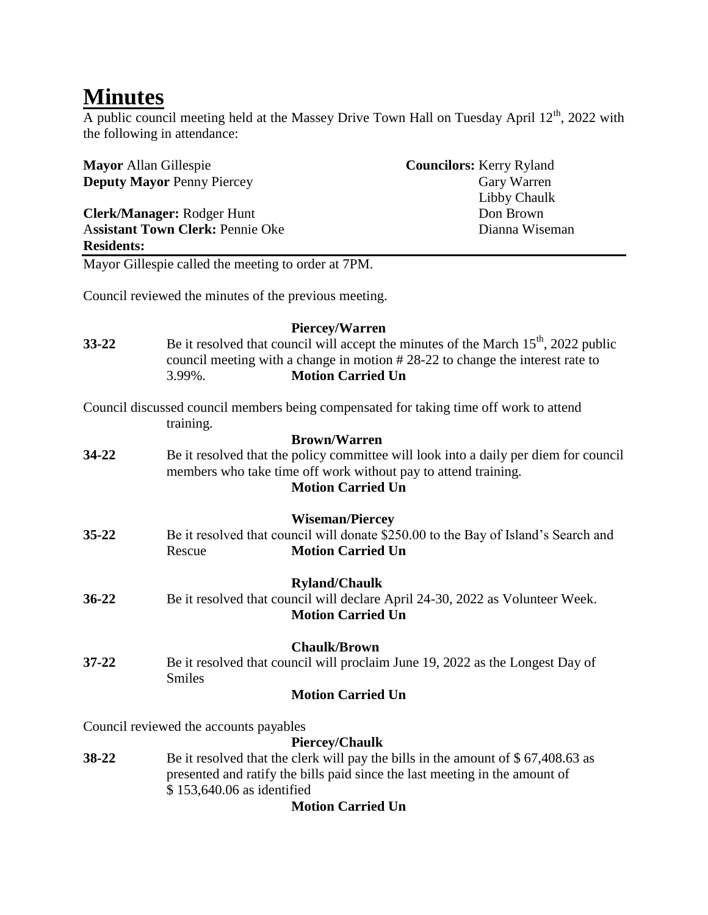## **Minutes**

A public council meeting held at the Massey Drive Town Hall on Tuesday April  $12<sup>th</sup>$ , 2022 with the following in attendance:

| <b>Mayor Allan Gillespie</b> |                                                                                                                                                                                                                                                                                                                                                                                                                                                                                                                                                                                                                                                                                                                                                                                                                                                                                                                                                                                                                                                                                                                                                                                                                                                                                                                                                                                                                                                                                                                                                                     | <b>Councilors: Kerry Ryland</b> |
|------------------------------|---------------------------------------------------------------------------------------------------------------------------------------------------------------------------------------------------------------------------------------------------------------------------------------------------------------------------------------------------------------------------------------------------------------------------------------------------------------------------------------------------------------------------------------------------------------------------------------------------------------------------------------------------------------------------------------------------------------------------------------------------------------------------------------------------------------------------------------------------------------------------------------------------------------------------------------------------------------------------------------------------------------------------------------------------------------------------------------------------------------------------------------------------------------------------------------------------------------------------------------------------------------------------------------------------------------------------------------------------------------------------------------------------------------------------------------------------------------------------------------------------------------------------------------------------------------------|---------------------------------|
|                              |                                                                                                                                                                                                                                                                                                                                                                                                                                                                                                                                                                                                                                                                                                                                                                                                                                                                                                                                                                                                                                                                                                                                                                                                                                                                                                                                                                                                                                                                                                                                                                     |                                 |
| Clerk/Manager: Rodger Hunt   |                                                                                                                                                                                                                                                                                                                                                                                                                                                                                                                                                                                                                                                                                                                                                                                                                                                                                                                                                                                                                                                                                                                                                                                                                                                                                                                                                                                                                                                                                                                                                                     |                                 |
|                              |                                                                                                                                                                                                                                                                                                                                                                                                                                                                                                                                                                                                                                                                                                                                                                                                                                                                                                                                                                                                                                                                                                                                                                                                                                                                                                                                                                                                                                                                                                                                                                     |                                 |
|                              |                                                                                                                                                                                                                                                                                                                                                                                                                                                                                                                                                                                                                                                                                                                                                                                                                                                                                                                                                                                                                                                                                                                                                                                                                                                                                                                                                                                                                                                                                                                                                                     |                                 |
|                              | <b>Deputy Mayor Penny Piercey</b><br>Gary Warren<br>Libby Chaulk<br>Don Brown<br><b>Assistant Town Clerk: Pennie Oke</b><br>Dianna Wiseman<br><b>Residents:</b><br>Mayor Gillespie called the meeting to order at 7PM.<br>Council reviewed the minutes of the previous meeting.<br><b>Piercey/Warren</b><br>Be it resolved that council will accept the minutes of the March $15th$ , 2022 public<br>council meeting with a change in motion #28-22 to change the interest rate to<br><b>Motion Carried Un</b><br>3.99%.<br>Council discussed council members being compensated for taking time off work to attend<br>training.<br><b>Brown/Warren</b><br>Be it resolved that the policy committee will look into a daily per diem for council<br>members who take time off work without pay to attend training.<br><b>Motion Carried Un</b><br><b>Wiseman/Piercey</b><br>Be it resolved that council will donate \$250.00 to the Bay of Island's Search and<br><b>Motion Carried Un</b><br>Rescue<br><b>Ryland/Chaulk</b><br>Be it resolved that council will declare April 24-30, 2022 as Volunteer Week.<br><b>Motion Carried Un</b><br><b>Chaulk/Brown</b><br>Be it resolved that council will proclaim June 19, 2022 as the Longest Day of<br>Smiles<br><b>Motion Carried Un</b><br>Council reviewed the accounts payables<br><b>Piercey/Chaulk</b><br>Be it resolved that the clerk will pay the bills in the amount of $$67,408.63$ as<br>38-22<br>presented and ratify the bills paid since the last meeting in the amount of<br>\$153,640.06 as identified |                                 |
|                              |                                                                                                                                                                                                                                                                                                                                                                                                                                                                                                                                                                                                                                                                                                                                                                                                                                                                                                                                                                                                                                                                                                                                                                                                                                                                                                                                                                                                                                                                                                                                                                     |                                 |
|                              |                                                                                                                                                                                                                                                                                                                                                                                                                                                                                                                                                                                                                                                                                                                                                                                                                                                                                                                                                                                                                                                                                                                                                                                                                                                                                                                                                                                                                                                                                                                                                                     |                                 |
| $33 - 22$                    |                                                                                                                                                                                                                                                                                                                                                                                                                                                                                                                                                                                                                                                                                                                                                                                                                                                                                                                                                                                                                                                                                                                                                                                                                                                                                                                                                                                                                                                                                                                                                                     |                                 |
|                              |                                                                                                                                                                                                                                                                                                                                                                                                                                                                                                                                                                                                                                                                                                                                                                                                                                                                                                                                                                                                                                                                                                                                                                                                                                                                                                                                                                                                                                                                                                                                                                     |                                 |
|                              |                                                                                                                                                                                                                                                                                                                                                                                                                                                                                                                                                                                                                                                                                                                                                                                                                                                                                                                                                                                                                                                                                                                                                                                                                                                                                                                                                                                                                                                                                                                                                                     |                                 |
|                              |                                                                                                                                                                                                                                                                                                                                                                                                                                                                                                                                                                                                                                                                                                                                                                                                                                                                                                                                                                                                                                                                                                                                                                                                                                                                                                                                                                                                                                                                                                                                                                     |                                 |
| 34-22                        |                                                                                                                                                                                                                                                                                                                                                                                                                                                                                                                                                                                                                                                                                                                                                                                                                                                                                                                                                                                                                                                                                                                                                                                                                                                                                                                                                                                                                                                                                                                                                                     |                                 |
|                              |                                                                                                                                                                                                                                                                                                                                                                                                                                                                                                                                                                                                                                                                                                                                                                                                                                                                                                                                                                                                                                                                                                                                                                                                                                                                                                                                                                                                                                                                                                                                                                     |                                 |
|                              |                                                                                                                                                                                                                                                                                                                                                                                                                                                                                                                                                                                                                                                                                                                                                                                                                                                                                                                                                                                                                                                                                                                                                                                                                                                                                                                                                                                                                                                                                                                                                                     |                                 |
| 35-22                        |                                                                                                                                                                                                                                                                                                                                                                                                                                                                                                                                                                                                                                                                                                                                                                                                                                                                                                                                                                                                                                                                                                                                                                                                                                                                                                                                                                                                                                                                                                                                                                     |                                 |
|                              |                                                                                                                                                                                                                                                                                                                                                                                                                                                                                                                                                                                                                                                                                                                                                                                                                                                                                                                                                                                                                                                                                                                                                                                                                                                                                                                                                                                                                                                                                                                                                                     |                                 |
|                              |                                                                                                                                                                                                                                                                                                                                                                                                                                                                                                                                                                                                                                                                                                                                                                                                                                                                                                                                                                                                                                                                                                                                                                                                                                                                                                                                                                                                                                                                                                                                                                     |                                 |
| $36 - 22$                    |                                                                                                                                                                                                                                                                                                                                                                                                                                                                                                                                                                                                                                                                                                                                                                                                                                                                                                                                                                                                                                                                                                                                                                                                                                                                                                                                                                                                                                                                                                                                                                     |                                 |
|                              |                                                                                                                                                                                                                                                                                                                                                                                                                                                                                                                                                                                                                                                                                                                                                                                                                                                                                                                                                                                                                                                                                                                                                                                                                                                                                                                                                                                                                                                                                                                                                                     |                                 |
| $37 - 22$                    |                                                                                                                                                                                                                                                                                                                                                                                                                                                                                                                                                                                                                                                                                                                                                                                                                                                                                                                                                                                                                                                                                                                                                                                                                                                                                                                                                                                                                                                                                                                                                                     |                                 |
|                              |                                                                                                                                                                                                                                                                                                                                                                                                                                                                                                                                                                                                                                                                                                                                                                                                                                                                                                                                                                                                                                                                                                                                                                                                                                                                                                                                                                                                                                                                                                                                                                     |                                 |
|                              |                                                                                                                                                                                                                                                                                                                                                                                                                                                                                                                                                                                                                                                                                                                                                                                                                                                                                                                                                                                                                                                                                                                                                                                                                                                                                                                                                                                                                                                                                                                                                                     |                                 |
|                              |                                                                                                                                                                                                                                                                                                                                                                                                                                                                                                                                                                                                                                                                                                                                                                                                                                                                                                                                                                                                                                                                                                                                                                                                                                                                                                                                                                                                                                                                                                                                                                     |                                 |
|                              |                                                                                                                                                                                                                                                                                                                                                                                                                                                                                                                                                                                                                                                                                                                                                                                                                                                                                                                                                                                                                                                                                                                                                                                                                                                                                                                                                                                                                                                                                                                                                                     |                                 |
|                              |                                                                                                                                                                                                                                                                                                                                                                                                                                                                                                                                                                                                                                                                                                                                                                                                                                                                                                                                                                                                                                                                                                                                                                                                                                                                                                                                                                                                                                                                                                                                                                     |                                 |

#### **Motion Carried Un**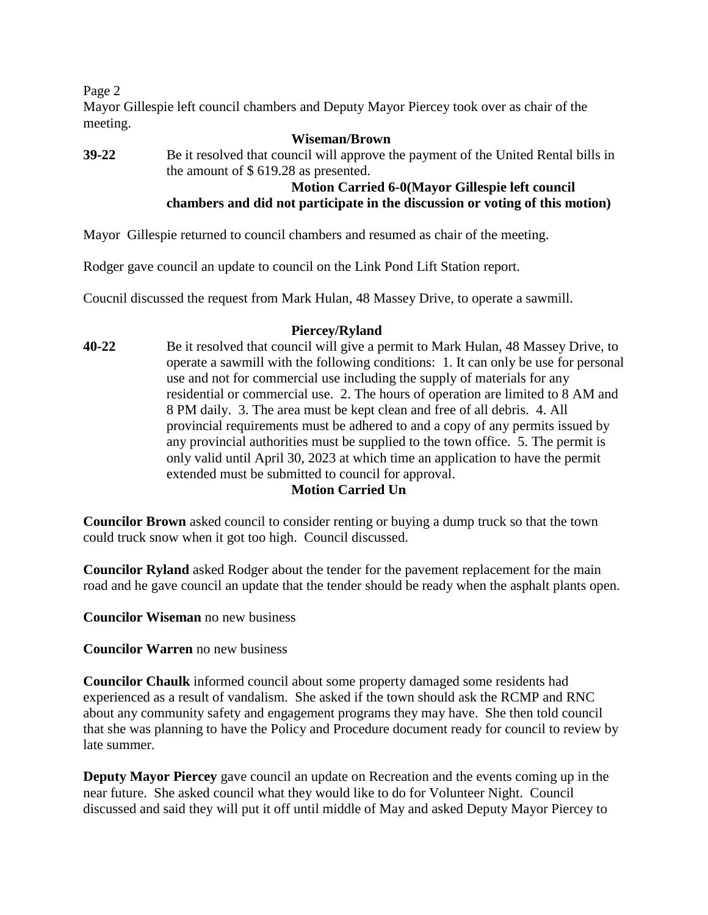Page 2

Mayor Gillespie left council chambers and Deputy Mayor Piercey took over as chair of the meeting.

**Wiseman/Brown 39-22** Be it resolved that council will approve the payment of the United Rental bills in the amount of \$ 619.28 as presented. **Motion Carried 6-0(Mayor Gillespie left council** 

# **chambers and did not participate in the discussion or voting of this motion)**

Mayor Gillespie returned to council chambers and resumed as chair of the meeting.

Rodger gave council an update to council on the Link Pond Lift Station report.

Coucnil discussed the request from Mark Hulan, 48 Massey Drive, to operate a sawmill.

#### **Piercey/Ryland**

**40-22** Be it resolved that council will give a permit to Mark Hulan, 48 Massey Drive, to operate a sawmill with the following conditions: 1. It can only be use for personal use and not for commercial use including the supply of materials for any residential or commercial use. 2. The hours of operation are limited to 8 AM and 8 PM daily. 3. The area must be kept clean and free of all debris. 4. All provincial requirements must be adhered to and a copy of any permits issued by any provincial authorities must be supplied to the town office. 5. The permit is only valid until April 30, 2023 at which time an application to have the permit extended must be submitted to council for approval.

#### **Motion Carried Un**

**Councilor Brown** asked council to consider renting or buying a dump truck so that the town could truck snow when it got too high. Council discussed.

**Councilor Ryland** asked Rodger about the tender for the pavement replacement for the main road and he gave council an update that the tender should be ready when the asphalt plants open.

**Councilor Wiseman** no new business

**Councilor Warren** no new business

**Councilor Chaulk** informed council about some property damaged some residents had experienced as a result of vandalism. She asked if the town should ask the RCMP and RNC about any community safety and engagement programs they may have. She then told council that she was planning to have the Policy and Procedure document ready for council to review by late summer.

**Deputy Mayor Piercey** gave council an update on Recreation and the events coming up in the near future. She asked council what they would like to do for Volunteer Night. Council discussed and said they will put it off until middle of May and asked Deputy Mayor Piercey to